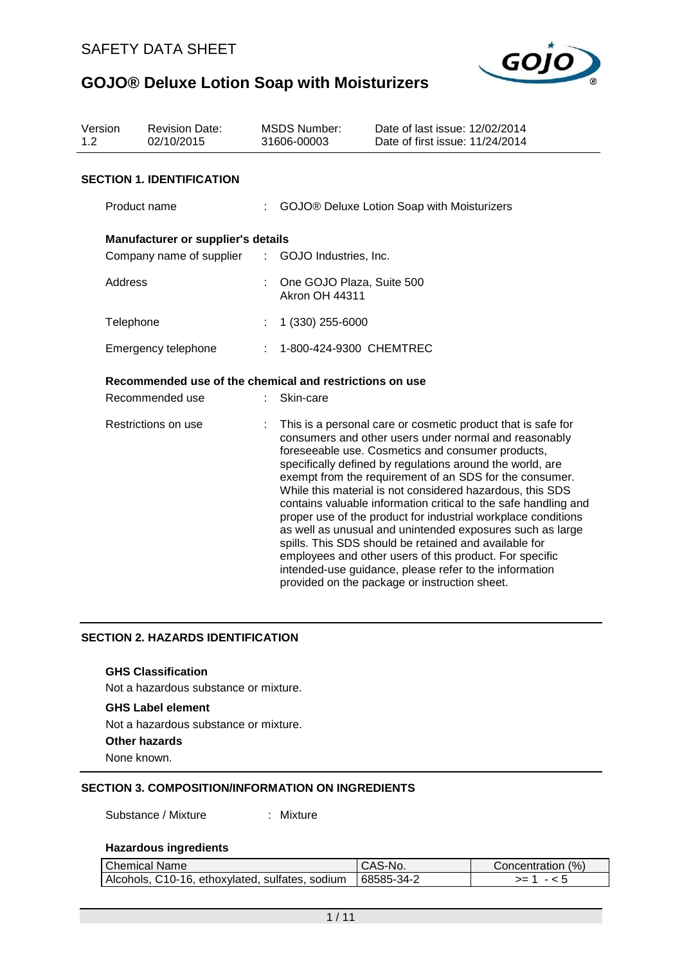

| Version<br><b>Revision Date:</b><br>02/10/2015<br>1.2 |                                                         |    | <b>MSDS Number:</b><br>31606-00003                 | Date of last issue: 12/02/2014<br>Date of first issue: 11/24/2014                                                                                                                                                                                                                                                                                                                                                                                                                                                                                                                                                                                                                                                                                                                               |  |
|-------------------------------------------------------|---------------------------------------------------------|----|----------------------------------------------------|-------------------------------------------------------------------------------------------------------------------------------------------------------------------------------------------------------------------------------------------------------------------------------------------------------------------------------------------------------------------------------------------------------------------------------------------------------------------------------------------------------------------------------------------------------------------------------------------------------------------------------------------------------------------------------------------------------------------------------------------------------------------------------------------------|--|
|                                                       | <b>SECTION 1. IDENTIFICATION</b>                        |    |                                                    |                                                                                                                                                                                                                                                                                                                                                                                                                                                                                                                                                                                                                                                                                                                                                                                                 |  |
|                                                       | Product name                                            |    |                                                    | GOJO® Deluxe Lotion Soap with Moisturizers                                                                                                                                                                                                                                                                                                                                                                                                                                                                                                                                                                                                                                                                                                                                                      |  |
|                                                       | Manufacturer or supplier's details                      |    |                                                    |                                                                                                                                                                                                                                                                                                                                                                                                                                                                                                                                                                                                                                                                                                                                                                                                 |  |
|                                                       | Company name of supplier                                | t. | GOJO Industries, Inc.                              |                                                                                                                                                                                                                                                                                                                                                                                                                                                                                                                                                                                                                                                                                                                                                                                                 |  |
| Address                                               |                                                         |    | One GOJO Plaza, Suite 500<br><b>Akron OH 44311</b> |                                                                                                                                                                                                                                                                                                                                                                                                                                                                                                                                                                                                                                                                                                                                                                                                 |  |
|                                                       | Telephone                                               |    | 1 (330) 255-6000                                   |                                                                                                                                                                                                                                                                                                                                                                                                                                                                                                                                                                                                                                                                                                                                                                                                 |  |
|                                                       | Emergency telephone                                     |    | 1-800-424-9300 CHEMTREC                            |                                                                                                                                                                                                                                                                                                                                                                                                                                                                                                                                                                                                                                                                                                                                                                                                 |  |
|                                                       | Recommended use of the chemical and restrictions on use |    |                                                    |                                                                                                                                                                                                                                                                                                                                                                                                                                                                                                                                                                                                                                                                                                                                                                                                 |  |
|                                                       | Recommended use                                         |    | Skin-care                                          |                                                                                                                                                                                                                                                                                                                                                                                                                                                                                                                                                                                                                                                                                                                                                                                                 |  |
| Restrictions on use                                   |                                                         |    |                                                    | This is a personal care or cosmetic product that is safe for<br>consumers and other users under normal and reasonably<br>foreseeable use. Cosmetics and consumer products,<br>specifically defined by regulations around the world, are<br>exempt from the requirement of an SDS for the consumer.<br>While this material is not considered hazardous, this SDS<br>contains valuable information critical to the safe handling and<br>proper use of the product for industrial workplace conditions<br>as well as unusual and unintended exposures such as large<br>spills. This SDS should be retained and available for<br>employees and other users of this product. For specific<br>intended-use guidance, please refer to the information<br>provided on the package or instruction sheet. |  |

### **SECTION 2. HAZARDS IDENTIFICATION**

#### **GHS Classification**

Not a hazardous substance or mixture.

#### **GHS Label element**

Not a hazardous substance or mixture.

**Other hazards**

None known.

## **SECTION 3. COMPOSITION/INFORMATION ON INGREDIENTS**

Substance / Mixture : Mixture

#### **Hazardous ingredients**

| <b>Chemical Name</b>                                         | CAS-No. | Concentration (%) |
|--------------------------------------------------------------|---------|-------------------|
| Alcohols, C10-16, ethoxylated, sulfates, sodium   68585-34-2 |         | >= ∶              |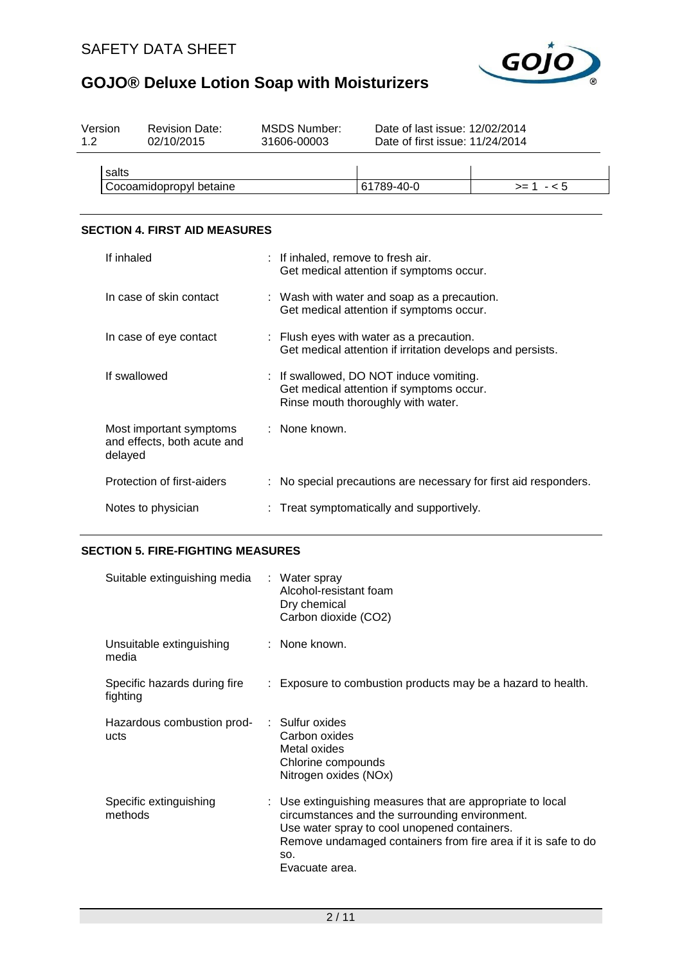

| Version<br>1.2 | <b>Revision Date:</b><br>02/10/2015 | MSDS Number:<br>31606-00003 | Date of last issue: 12/02/2014<br>Date of first issue: 11/24/2014 |            |
|----------------|-------------------------------------|-----------------------------|-------------------------------------------------------------------|------------|
| salts          |                                     |                             |                                                                   |            |
|                | Cocoamidopropyl betaine             |                             | 61789-40-0                                                        | $>= 1 - 5$ |
|                |                                     |                             |                                                                   |            |

## **SECTION 4. FIRST AID MEASURES**

| If inhaled                                                        | : If inhaled, remove to fresh air.<br>Get medical attention if symptoms occur.                                            |
|-------------------------------------------------------------------|---------------------------------------------------------------------------------------------------------------------------|
| In case of skin contact                                           | : Wash with water and soap as a precaution.<br>Get medical attention if symptoms occur.                                   |
| In case of eye contact                                            | : Flush eyes with water as a precaution.<br>Get medical attention if irritation develops and persists.                    |
| If swallowed                                                      | : If swallowed, DO NOT induce vomiting.<br>Get medical attention if symptoms occur.<br>Rinse mouth thoroughly with water. |
| Most important symptoms<br>and effects, both acute and<br>delayed | : None known.                                                                                                             |
| Protection of first-aiders                                        | : No special precautions are necessary for first aid responders.                                                          |
| Notes to physician                                                | : Treat symptomatically and supportively.                                                                                 |

## **SECTION 5. FIRE-FIGHTING MEASURES**

| Suitable extinguishing media             | : Water spray<br>Alcohol-resistant foam<br>Dry chemical<br>Carbon dioxide (CO2)                                                                                                                                                                         |
|------------------------------------------|---------------------------------------------------------------------------------------------------------------------------------------------------------------------------------------------------------------------------------------------------------|
| Unsuitable extinguishing<br>media        | : None known.                                                                                                                                                                                                                                           |
| Specific hazards during fire<br>fighting | : Exposure to combustion products may be a hazard to health.                                                                                                                                                                                            |
| Hazardous combustion prod-<br>ucts       | : Sulfur oxides<br>Carbon oxides<br>Metal oxides<br>Chlorine compounds<br>Nitrogen oxides (NOx)                                                                                                                                                         |
| Specific extinguishing<br>methods        | : Use extinguishing measures that are appropriate to local<br>circumstances and the surrounding environment.<br>Use water spray to cool unopened containers.<br>Remove undamaged containers from fire area if it is safe to do<br>SO.<br>Evacuate area. |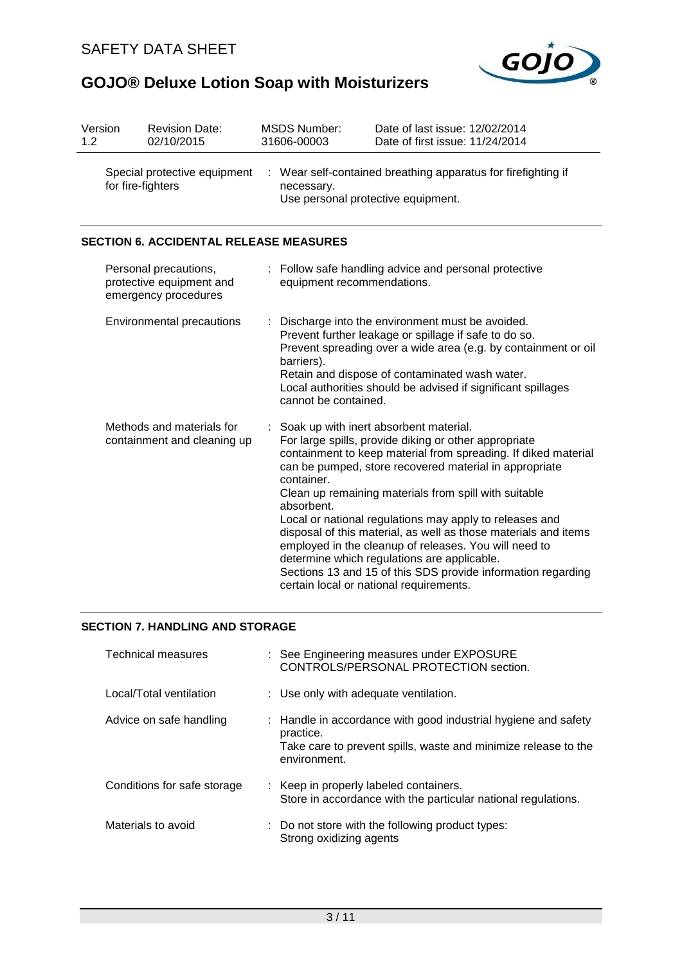

| Version<br>1.2                                    |  | <b>Revision Date:</b><br>02/10/2015                                       | <b>MSDS Number:</b><br>31606-00003                            | Date of last issue: 12/02/2014<br>Date of first issue: 11/24/2014                                                                                                                                                                                                                                                                                                                                                                                                                                                                                                                                                                       |
|---------------------------------------------------|--|---------------------------------------------------------------------------|---------------------------------------------------------------|-----------------------------------------------------------------------------------------------------------------------------------------------------------------------------------------------------------------------------------------------------------------------------------------------------------------------------------------------------------------------------------------------------------------------------------------------------------------------------------------------------------------------------------------------------------------------------------------------------------------------------------------|
| Special protective equipment<br>for fire-fighters |  | necessary.<br>Use personal protective equipment.                          | : Wear self-contained breathing apparatus for firefighting if |                                                                                                                                                                                                                                                                                                                                                                                                                                                                                                                                                                                                                                         |
|                                                   |  | <b>SECTION 6. ACCIDENTAL RELEASE MEASURES</b>                             |                                                               |                                                                                                                                                                                                                                                                                                                                                                                                                                                                                                                                                                                                                                         |
|                                                   |  | Personal precautions,<br>protective equipment and<br>emergency procedures | equipment recommendations.                                    | : Follow safe handling advice and personal protective                                                                                                                                                                                                                                                                                                                                                                                                                                                                                                                                                                                   |
|                                                   |  | Environmental precautions                                                 | barriers).<br>cannot be contained.                            | : Discharge into the environment must be avoided.<br>Prevent further leakage or spillage if safe to do so.<br>Prevent spreading over a wide area (e.g. by containment or oil<br>Retain and dispose of contaminated wash water.<br>Local authorities should be advised if significant spillages                                                                                                                                                                                                                                                                                                                                          |
|                                                   |  | Methods and materials for<br>containment and cleaning up                  | container.<br>absorbent.                                      | : Soak up with inert absorbent material.<br>For large spills, provide diking or other appropriate<br>containment to keep material from spreading. If diked material<br>can be pumped, store recovered material in appropriate<br>Clean up remaining materials from spill with suitable<br>Local or national regulations may apply to releases and<br>disposal of this material, as well as those materials and items<br>employed in the cleanup of releases. You will need to<br>determine which regulations are applicable.<br>Sections 13 and 15 of this SDS provide information regarding<br>certain local or national requirements. |

## **SECTION 7. HANDLING AND STORAGE**

| <b>Technical measures</b>   | : See Engineering measures under EXPOSURE<br>CONTROLS/PERSONAL PROTECTION section.                                                                            |
|-----------------------------|---------------------------------------------------------------------------------------------------------------------------------------------------------------|
| Local/Total ventilation     | : Use only with adequate ventilation.                                                                                                                         |
| Advice on safe handling     | : Handle in accordance with good industrial hygiene and safety<br>practice.<br>Take care to prevent spills, waste and minimize release to the<br>environment. |
| Conditions for safe storage | : Keep in properly labeled containers.<br>Store in accordance with the particular national regulations.                                                       |
| Materials to avoid          | : Do not store with the following product types:<br>Strong oxidizing agents                                                                                   |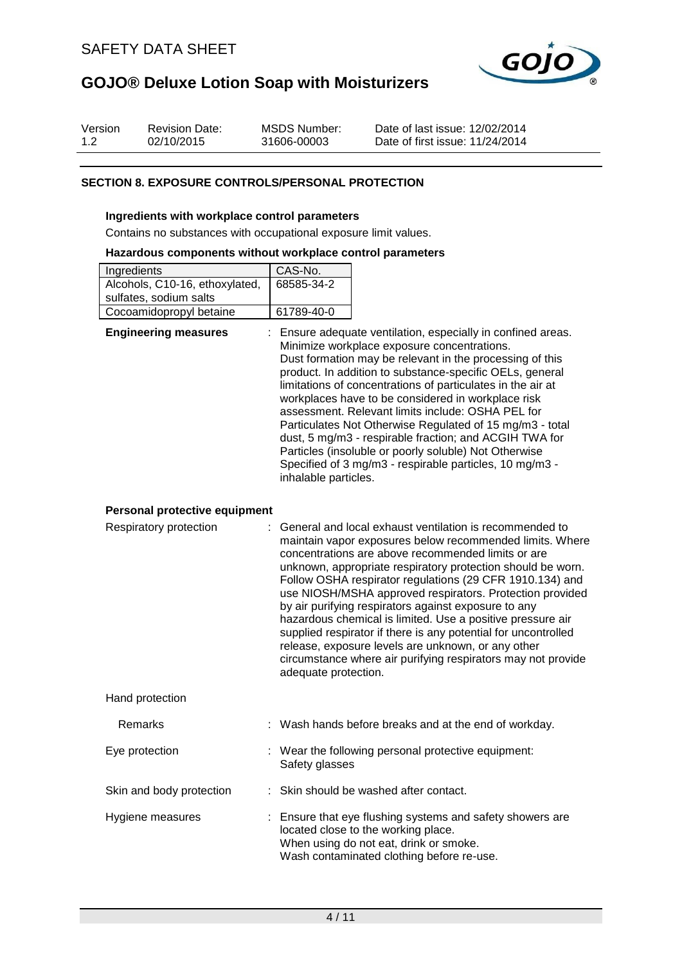

| Version | <b>Revision Date:</b> | MSDS Number: | Date of last issue: 12/02/2014  |
|---------|-----------------------|--------------|---------------------------------|
| 1.2     | 02/10/2015            | 31606-00003  | Date of first issue: 11/24/2014 |

### **SECTION 8. EXPOSURE CONTROLS/PERSONAL PROTECTION**

#### **Ingredients with workplace control parameters**

Contains no substances with occupational exposure limit values.

#### **Hazardous components without workplace control parameters**

| Ingredients                    | CAS-No.    |
|--------------------------------|------------|
| Alcohols, C10-16, ethoxylated, | 68585-34-2 |
| sulfates, sodium salts         |            |
| Cocoamidopropyl betaine        | 61789-40-0 |

| <b>Engineering measures</b>   | : Ensure adequate ventilation, especially in confined areas.<br>Minimize workplace exposure concentrations.<br>Dust formation may be relevant in the processing of this<br>product. In addition to substance-specific OELs, general<br>limitations of concentrations of particulates in the air at<br>workplaces have to be considered in workplace risk<br>assessment. Relevant limits include: OSHA PEL for<br>Particulates Not Otherwise Regulated of 15 mg/m3 - total<br>dust, 5 mg/m3 - respirable fraction; and ACGIH TWA for<br>Particles (insoluble or poorly soluble) Not Otherwise<br>Specified of 3 mg/m3 - respirable particles, 10 mg/m3 -<br>inhalable particles. |
|-------------------------------|---------------------------------------------------------------------------------------------------------------------------------------------------------------------------------------------------------------------------------------------------------------------------------------------------------------------------------------------------------------------------------------------------------------------------------------------------------------------------------------------------------------------------------------------------------------------------------------------------------------------------------------------------------------------------------|
| Personal protective equipment |                                                                                                                                                                                                                                                                                                                                                                                                                                                                                                                                                                                                                                                                                 |
| Respiratory protection        | : General and local exhaust ventilation is recommended to                                                                                                                                                                                                                                                                                                                                                                                                                                                                                                                                                                                                                       |

| Respiratory protection | : General and local exhaust ventilation is recommended to<br>maintain vapor exposures below recommended limits. Where<br>concentrations are above recommended limits or are<br>unknown, appropriate respiratory protection should be worn.<br>Follow OSHA respirator regulations (29 CFR 1910.134) and<br>use NIOSH/MSHA approved respirators. Protection provided<br>by air purifying respirators against exposure to any<br>hazardous chemical is limited. Use a positive pressure air<br>supplied respirator if there is any potential for uncontrolled<br>release, exposure levels are unknown, or any other<br>circumstance where air purifying respirators may not provide<br>adequate protection. |
|------------------------|----------------------------------------------------------------------------------------------------------------------------------------------------------------------------------------------------------------------------------------------------------------------------------------------------------------------------------------------------------------------------------------------------------------------------------------------------------------------------------------------------------------------------------------------------------------------------------------------------------------------------------------------------------------------------------------------------------|
| Hand protection        |                                                                                                                                                                                                                                                                                                                                                                                                                                                                                                                                                                                                                                                                                                          |
| Remarks                | : Wash hands before breaks and at the end of workday.                                                                                                                                                                                                                                                                                                                                                                                                                                                                                                                                                                                                                                                    |

| Eye protection           | : Wear the following personal protective equipment:<br>Safety glasses                                                                                                                   |
|--------------------------|-----------------------------------------------------------------------------------------------------------------------------------------------------------------------------------------|
| Skin and body protection | : Skin should be washed after contact.                                                                                                                                                  |
| Hygiene measures         | : Ensure that eye flushing systems and safety showers are<br>located close to the working place.<br>When using do not eat, drink or smoke.<br>Wash contaminated clothing before re-use. |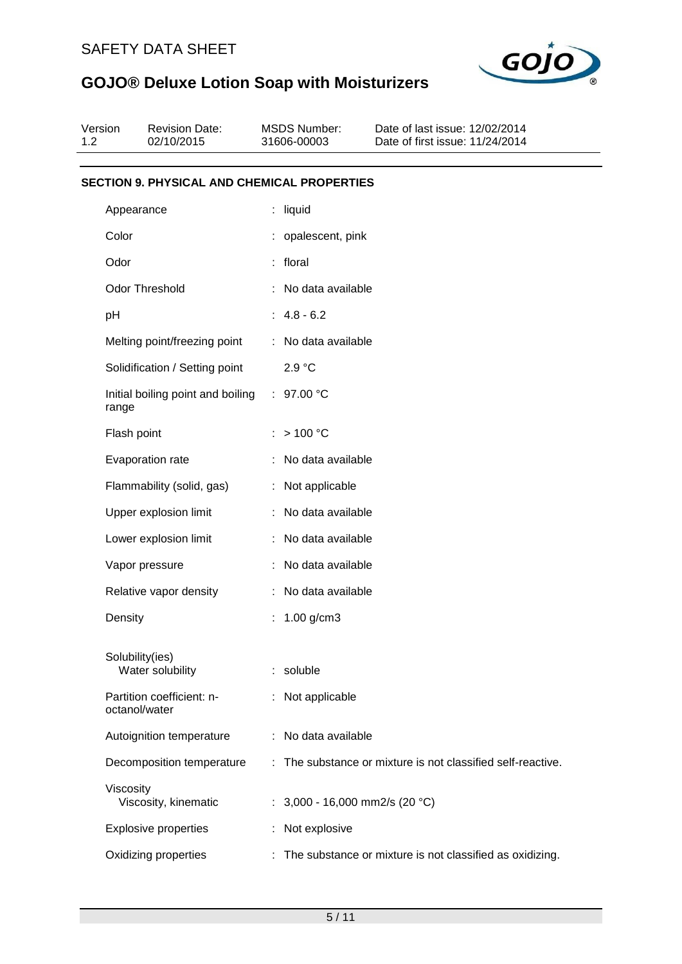

| Version<br>1.2 | <b>Revision Date:</b><br>02/10/2015                | <b>MSDS Number:</b><br>31606-00003 | Date of last issue: 12/02/2014<br>Date of first issue: 11/24/2014 |
|----------------|----------------------------------------------------|------------------------------------|-------------------------------------------------------------------|
|                | <b>SECTION 9. PHYSICAL AND CHEMICAL PROPERTIES</b> |                                    |                                                                   |
|                | Appearance                                         | : liquid                           |                                                                   |
|                | Color                                              | : opalescent, pink                 |                                                                   |
|                | Odor                                               | : floral                           |                                                                   |
|                | <b>Odor Threshold</b>                              | : No data available                |                                                                   |
|                | pH                                                 | $: 4.8 - 6.2$                      |                                                                   |
|                | Melting point/freezing point                       | : No data available                |                                                                   |
|                | Solidification / Setting point                     | 2.9 °C                             |                                                                   |
|                | Initial boiling point and boiling<br>range         | : $97.00 °C$                       |                                                                   |
|                | Flash point                                        | : $> 100 °C$                       |                                                                   |
|                | Evaporation rate                                   | No data available                  |                                                                   |
|                | Flammability (solid, gas)                          | : Not applicable                   |                                                                   |
|                | Upper explosion limit                              | : No data available                |                                                                   |
|                | Lower explosion limit                              | : No data available                |                                                                   |
|                | Vapor pressure                                     | No data available                  |                                                                   |
|                | Relative vapor density                             | : No data available                |                                                                   |
|                | Density                                            | 1.00 $g/cm3$                       |                                                                   |
|                | Solubility(ies)<br>Water solubility                | : soluble                          |                                                                   |
|                | Partition coefficient: n-<br>octanol/water         | : Not applicable                   |                                                                   |
|                | Autoignition temperature                           | No data available                  |                                                                   |
|                | Decomposition temperature                          |                                    | : The substance or mixture is not classified self-reactive.       |
|                | Viscosity<br>Viscosity, kinematic                  | : $3,000 - 16,000$ mm2/s (20 °C)   |                                                                   |
|                | <b>Explosive properties</b>                        | Not explosive                      |                                                                   |
|                | Oxidizing properties                               |                                    | The substance or mixture is not classified as oxidizing.          |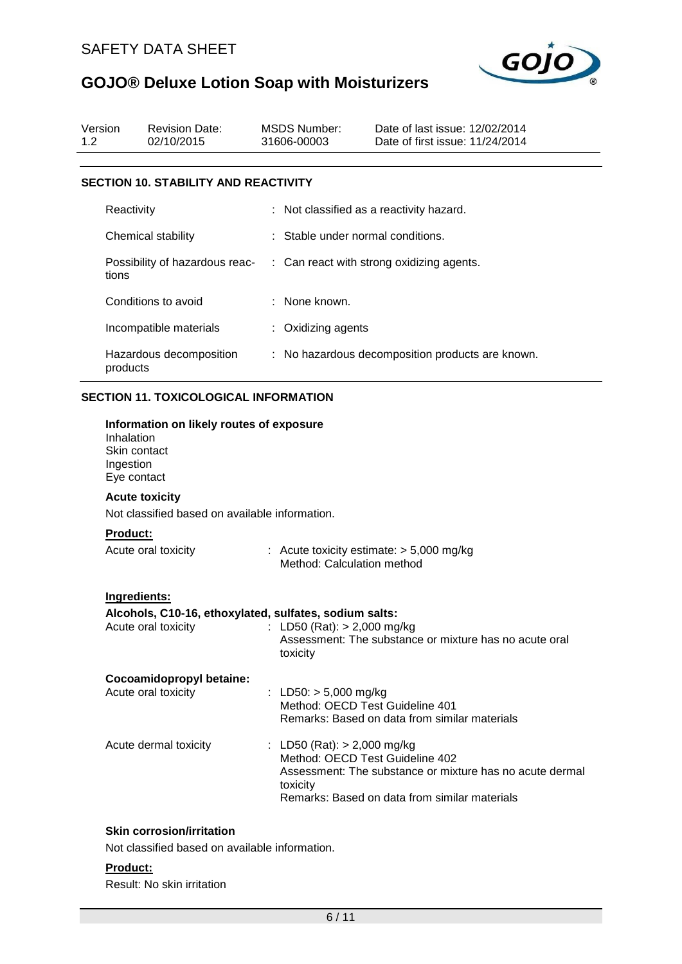

| Version<br>1.2 |                                                        | <b>Revision Date:</b><br>02/10/2015                                                      | <b>MSDS Number:</b><br>31606-00003                                           | Date of last issue: 12/02/2014<br>Date of first issue: 11/24/2014                                         |
|----------------|--------------------------------------------------------|------------------------------------------------------------------------------------------|------------------------------------------------------------------------------|-----------------------------------------------------------------------------------------------------------|
|                |                                                        | <b>SECTION 10. STABILITY AND REACTIVITY</b>                                              |                                                                              |                                                                                                           |
|                | Reactivity                                             |                                                                                          |                                                                              | Not classified as a reactivity hazard.                                                                    |
|                |                                                        | Chemical stability                                                                       | Stable under normal conditions.                                              |                                                                                                           |
|                | tions                                                  | Possibility of hazardous reac-                                                           |                                                                              | : Can react with strong oxidizing agents.                                                                 |
|                |                                                        | Conditions to avoid                                                                      | : None known.                                                                |                                                                                                           |
|                |                                                        | Incompatible materials                                                                   | : Oxidizing agents                                                           |                                                                                                           |
|                | products                                               | Hazardous decomposition                                                                  |                                                                              | : No hazardous decomposition products are known.                                                          |
|                | Inhalation<br>Skin contact<br>Ingestion<br>Eye contact | <b>SECTION 11. TOXICOLOGICAL INFORMATION</b><br>Information on likely routes of exposure |                                                                              |                                                                                                           |
|                |                                                        | <b>Acute toxicity</b><br>Not classified based on available information.                  |                                                                              |                                                                                                           |
|                | Product:                                               | Acute oral toxicity                                                                      | Method: Calculation method                                                   | : Acute toxicity estimate: $> 5,000$ mg/kg                                                                |
|                | Ingredients:                                           | Alcohols, C10-16, ethoxylated, sulfates, sodium salts:<br>Acute oral toxicity            | : LD50 (Rat): $> 2,000$ mg/kg<br>toxicity                                    | Assessment: The substance or mixture has no acute oral                                                    |
|                |                                                        | Cocoamidopropyl betaine:<br>Acute oral toxicity                                          | : LD50: $> 5,000$ mg/kg<br>Method: OECD Test Guideline 401                   | Remarks: Based on data from similar materials                                                             |
|                |                                                        | Acute dermal toxicity                                                                    | : LD50 (Rat): $> 2,000$ mg/kg<br>Method: OECD Test Guideline 402<br>toxicity | Assessment: The substance or mixture has no acute dermal<br>Remarks: Based on data from similar materials |

# **Skin corrosion/irritation**

Not classified based on available information.

### **Product:**

Result: No skin irritation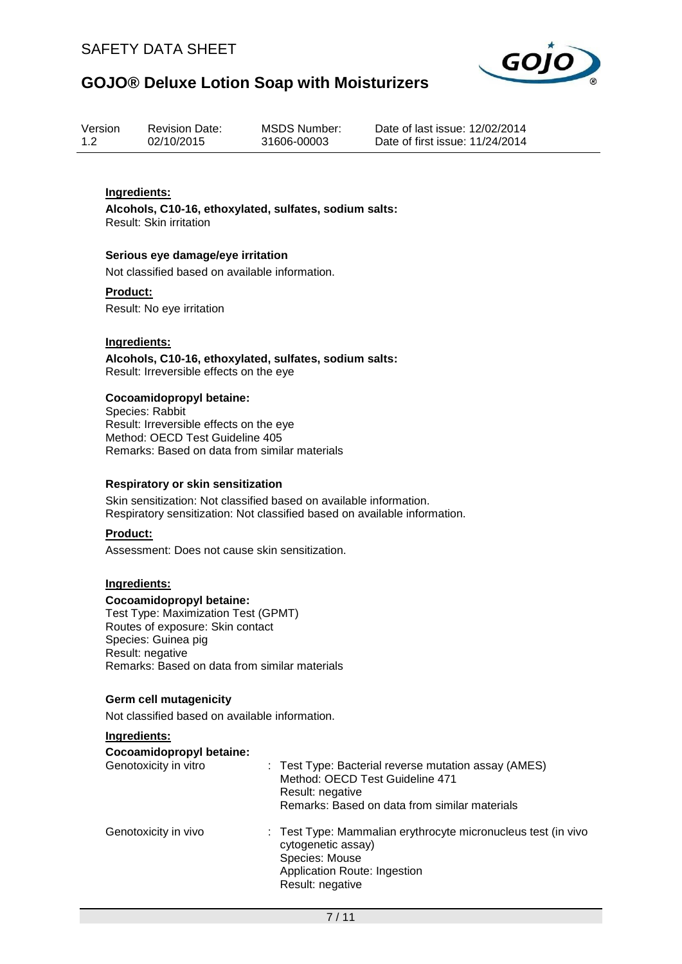

| Version | <b>Revision Date:</b> | MSDS Number: |
|---------|-----------------------|--------------|
| 1.2     | 02/10/2015            | 31606-00003  |

Date of last issue: 12/02/2014 Date of first issue: 11/24/2014

## **Ingredients:**

**Alcohols, C10-16, ethoxylated, sulfates, sodium salts:** Result: Skin irritation

#### **Serious eye damage/eye irritation**

Not classified based on available information.

#### **Product:**

Result: No eye irritation

### **Ingredients:**

**Alcohols, C10-16, ethoxylated, sulfates, sodium salts:** Result: Irreversible effects on the eye

#### **Cocoamidopropyl betaine:**

Species: Rabbit Result: Irreversible effects on the eye Method: OECD Test Guideline 405 Remarks: Based on data from similar materials

#### **Respiratory or skin sensitization**

Skin sensitization: Not classified based on available information. Respiratory sensitization: Not classified based on available information.

## **Product:**

Assessment: Does not cause skin sensitization.

### **Ingredients:**

#### **Cocoamidopropyl betaine:**

Test Type: Maximization Test (GPMT) Routes of exposure: Skin contact Species: Guinea pig Result: negative Remarks: Based on data from similar materials

## **Germ cell mutagenicity**

Not classified based on available information.

#### **Ingredients:**

#### **Cocoamidopropyl betaine:**

| Genotoxicity in vitro | : Test Type: Bacterial reverse mutation assay (AMES)<br>Method: OECD Test Guideline 471<br>Result: negative<br>Remarks: Based on data from similar materials |
|-----------------------|--------------------------------------------------------------------------------------------------------------------------------------------------------------|
| Genotoxicity in vivo  | : Test Type: Mammalian erythrocyte micronucleus test (in vivo<br>cytogenetic assay)<br>Species: Mouse<br>Application Route: Ingestion<br>Result: negative    |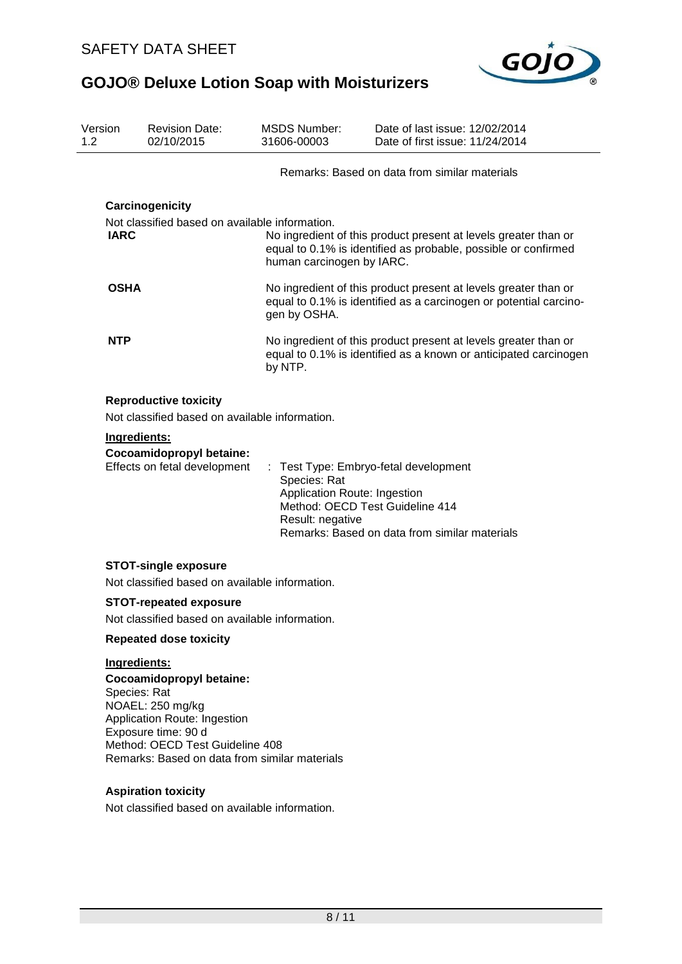

| Version<br>1.2                                 | <b>Revision Date:</b><br>02/10/2015                                                                                                                    | <b>MSDS Number:</b><br>31606-00003                               | Date of last issue: 12/02/2014<br>Date of first issue: 11/24/2014                                                                    |  |  |
|------------------------------------------------|--------------------------------------------------------------------------------------------------------------------------------------------------------|------------------------------------------------------------------|--------------------------------------------------------------------------------------------------------------------------------------|--|--|
|                                                |                                                                                                                                                        |                                                                  | Remarks: Based on data from similar materials                                                                                        |  |  |
|                                                | Carcinogenicity                                                                                                                                        |                                                                  |                                                                                                                                      |  |  |
|                                                | Not classified based on available information.                                                                                                         |                                                                  |                                                                                                                                      |  |  |
| <b>IARC</b>                                    |                                                                                                                                                        | human carcinogen by IARC.                                        | No ingredient of this product present at levels greater than or<br>equal to 0.1% is identified as probable, possible or confirmed    |  |  |
| <b>OSHA</b>                                    |                                                                                                                                                        | gen by OSHA.                                                     | No ingredient of this product present at levels greater than or<br>equal to 0.1% is identified as a carcinogen or potential carcino- |  |  |
| <b>NTP</b>                                     |                                                                                                                                                        | by NTP.                                                          | No ingredient of this product present at levels greater than or<br>equal to 0.1% is identified as a known or anticipated carcinogen  |  |  |
|                                                | <b>Reproductive toxicity</b>                                                                                                                           |                                                                  |                                                                                                                                      |  |  |
|                                                | Not classified based on available information.                                                                                                         |                                                                  |                                                                                                                                      |  |  |
|                                                | Ingredients:                                                                                                                                           |                                                                  |                                                                                                                                      |  |  |
|                                                | Cocoamidopropyl betaine:<br>Effects on fetal development                                                                                               | Species: Rat<br>Application Route: Ingestion<br>Result: negative | : Test Type: Embryo-fetal development<br>Method: OECD Test Guideline 414<br>Remarks: Based on data from similar materials            |  |  |
|                                                | <b>STOT-single exposure</b>                                                                                                                            |                                                                  |                                                                                                                                      |  |  |
| Not classified based on available information. |                                                                                                                                                        |                                                                  |                                                                                                                                      |  |  |
| <b>STOT-repeated exposure</b>                  |                                                                                                                                                        |                                                                  |                                                                                                                                      |  |  |
| Not classified based on available information  |                                                                                                                                                        |                                                                  |                                                                                                                                      |  |  |
| <b>Repeated dose toxicity</b>                  |                                                                                                                                                        |                                                                  |                                                                                                                                      |  |  |
| Ingredients:                                   |                                                                                                                                                        |                                                                  |                                                                                                                                      |  |  |
|                                                | Cocoamidopropyl betaine:<br>Species: Rat<br>NOAEL: 250 mg/kg<br>Application Route: Ingestion<br>Exposure time: 90 d<br>Method: OECD Test Guideline 408 |                                                                  |                                                                                                                                      |  |  |

# **Aspiration toxicity**

Not classified based on available information.

Remarks: Based on data from similar materials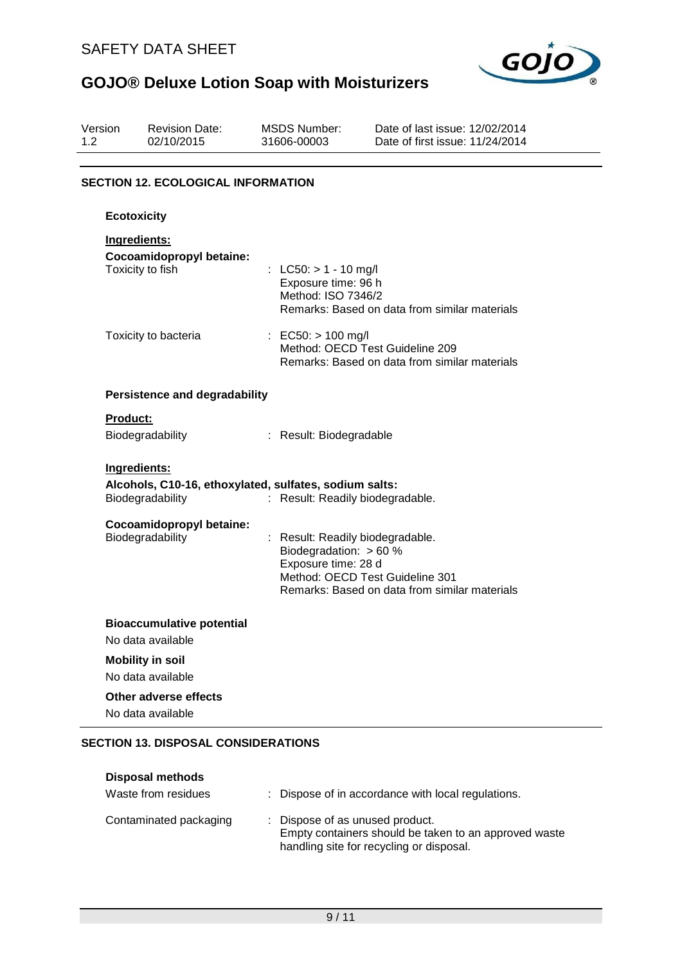

| Version<br>1.2 |                                           | <b>Revision Date:</b><br>02/10/2015                                        |  | <b>MSDS Number:</b><br>31606-00003                                                                                     | Date of last issue: 12/02/2014<br>Date of first issue: 11/24/2014 |  |  |
|----------------|-------------------------------------------|----------------------------------------------------------------------------|--|------------------------------------------------------------------------------------------------------------------------|-------------------------------------------------------------------|--|--|
|                | <b>SECTION 12. ECOLOGICAL INFORMATION</b> |                                                                            |  |                                                                                                                        |                                                                   |  |  |
|                | <b>Ecotoxicity</b>                        |                                                                            |  |                                                                                                                        |                                                                   |  |  |
|                | Ingredients:                              | Cocoamidopropyl betaine:<br>Toxicity to fish                               |  | : LC50: $> 1 - 10$ mg/l<br>Exposure time: 96 h<br>Method: ISO 7346/2                                                   | Remarks: Based on data from similar materials                     |  |  |
|                |                                           | Toxicity to bacteria                                                       |  | : EC50: $> 100$ mg/l<br>Method: OECD Test Guideline 209                                                                | Remarks: Based on data from similar materials                     |  |  |
|                |                                           | <b>Persistence and degradability</b>                                       |  |                                                                                                                        |                                                                   |  |  |
|                | <b>Product:</b>                           |                                                                            |  |                                                                                                                        |                                                                   |  |  |
|                |                                           | Biodegradability                                                           |  | : Result: Biodegradable                                                                                                |                                                                   |  |  |
|                | Ingredients:                              | Alcohols, C10-16, ethoxylated, sulfates, sodium salts:<br>Biodegradability |  | : Result: Readily biodegradable.                                                                                       |                                                                   |  |  |
|                |                                           | Cocoamidopropyl betaine:<br>Biodegradability                               |  | : Result: Readily biodegradable.<br>Biodegradation: $> 60 %$<br>Exposure time: 28 d<br>Method: OECD Test Guideline 301 | Remarks: Based on data from similar materials                     |  |  |
|                |                                           | <b>Bioaccumulative potential</b><br>No data available                      |  |                                                                                                                        |                                                                   |  |  |
|                |                                           | <b>Mobility in soil</b><br>No data available                               |  |                                                                                                                        |                                                                   |  |  |
|                |                                           | <b>Other adverse effects</b><br>No data available                          |  |                                                                                                                        |                                                                   |  |  |

## **SECTION 13. DISPOSAL CONSIDERATIONS**

| <b>Disposal methods</b><br>Waste from residues | : Dispose of in accordance with local regulations.                                                                                   |
|------------------------------------------------|--------------------------------------------------------------------------------------------------------------------------------------|
| Contaminated packaging                         | : Dispose of as unused product.<br>Empty containers should be taken to an approved waste<br>handling site for recycling or disposal. |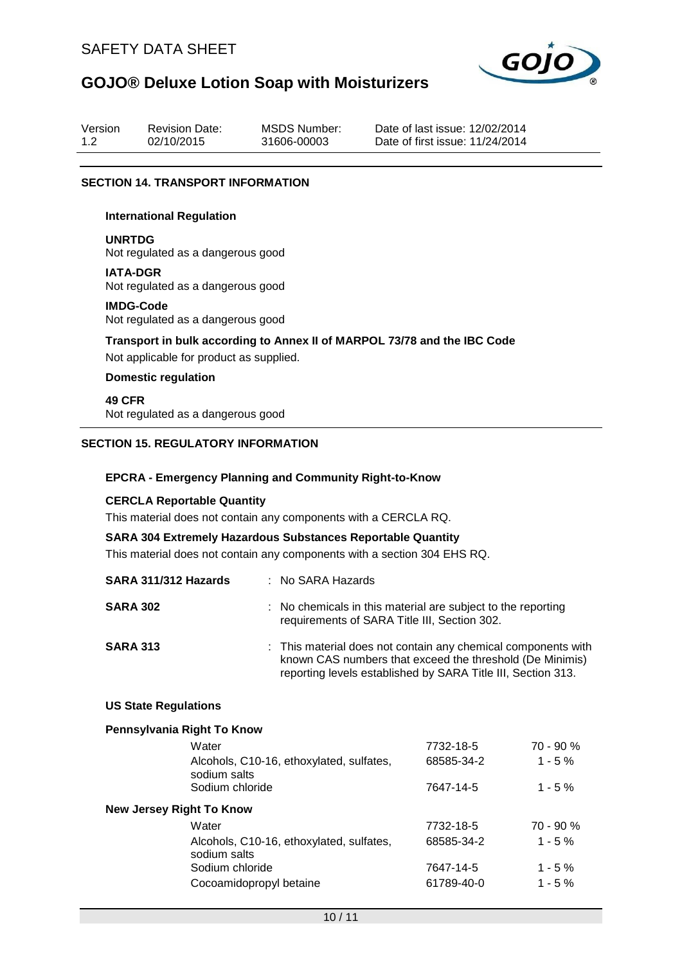

| Version | <b>Revision Date:</b> | MSDS Number: | Dat |
|---------|-----------------------|--------------|-----|
| 1.2     | 02/10/2015            | 31606-00003  | Dat |

te of last issue: 12/02/2014 te of first issue: 11/24/2014

#### **SECTION 14. TRANSPORT INFORMATION**

#### **International Regulation**

**UNRTDG** Not regulated as a dangerous good

**IATA-DGR** Not regulated as a dangerous good

### **IMDG-Code**

Not regulated as a dangerous good

**Transport in bulk according to Annex II of MARPOL 73/78 and the IBC Code** Not applicable for product as supplied.

## **Domestic regulation**

**49 CFR** Not regulated as a dangerous good

### **SECTION 15. REGULATORY INFORMATION**

### **EPCRA - Emergency Planning and Community Right-to-Know**

### **CERCLA Reportable Quantity**

This material does not contain any components with a CERCLA RQ.

### **SARA 304 Extremely Hazardous Substances Reportable Quantity**

This material does not contain any components with a section 304 EHS RQ.

| SARA 311/312 Hazards | : No SARA Hazards                                                                                                                                                                         |
|----------------------|-------------------------------------------------------------------------------------------------------------------------------------------------------------------------------------------|
| <b>SARA 302</b>      | : No chemicals in this material are subject to the reporting<br>requirements of SARA Title III, Section 302.                                                                              |
| <b>SARA 313</b>      | : This material does not contain any chemical components with<br>known CAS numbers that exceed the threshold (De Minimis)<br>reporting levels established by SARA Title III, Section 313. |

#### **US State Regulations**

#### **Pennsylvania Right To Know**

| 7732-18-5  | $70 - 90 %$ |
|------------|-------------|
| 68585-34-2 | $1 - 5%$    |
| 7647-14-5  | $1 - 5 \%$  |
|            |             |
| 7732-18-5  | $70 - 90 %$ |
| 68585-34-2 | $1 - 5%$    |
| 7647-14-5  | $1 - 5 \%$  |
| 61789-40-0 | $1 - 5\%$   |
|            |             |